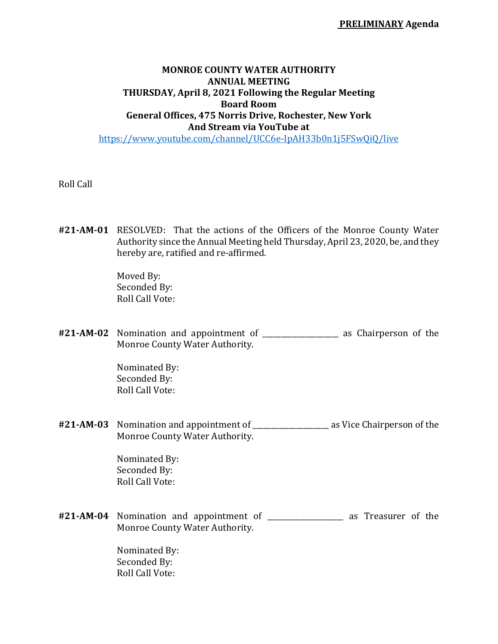**PRELIMINARY Agenda**

## **MONROE COUNTY WATER AUTHORITY ANNUAL MEETING THURSDAY, April 8, 2021 Following the Regular Meeting Board Room General Offices, 475 Norris Drive, Rochester, New York And Stream via YouTube at**

https://www.youtube.com/channel/UCC6e-IpAH33b0n1j5FSwQiQ/live

Roll Call

**#21‐AM‐01** RESOLVED: That the actions of the Officers of the Monroe County Water Authority since the Annual Meeting held Thursday, April 23, 2020, be, and they hereby are, ratified and re-affirmed.

> Moved By: Seconded By: Roll Call Vote:

**#21‐AM‐02** Nomination and appointment of \_\_\_\_\_\_\_\_\_\_\_\_\_\_\_\_\_\_\_\_\_ as Chairperson of the Monroe County Water Authority.

> Nominated By: Seconded By: Roll Call Vote:

**#21‐AM‐03** Nomination and appointment of \_\_\_\_\_\_\_\_\_\_\_\_\_\_\_\_\_\_\_\_\_ as Vice Chairperson of the Monroe County Water Authority.

> Nominated By: Seconded By: Roll Call Vote:

**#21‐AM‐04** Nomination and appointment of \_\_\_\_\_\_\_\_\_\_\_\_\_\_\_\_\_\_\_\_\_ as Treasurer of the Monroe County Water Authority.

> Nominated By: Seconded By: Roll Call Vote: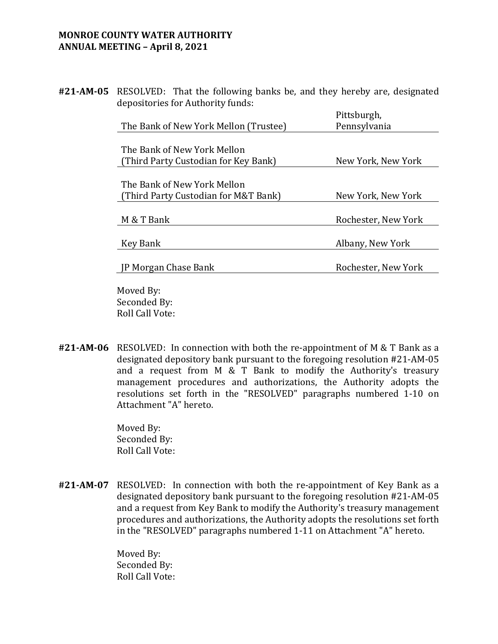## **MONROE COUNTY WATER AUTHORITY ANNUAL MEETING – April 8, 2021**

**#21‐AM‐05** RESOLVED: That the following banks be, and they hereby are, designated depositories for Authority funds:

|                                       | Pittsburgh,         |
|---------------------------------------|---------------------|
| The Bank of New York Mellon (Trustee) | Pennsylvania        |
|                                       |                     |
| The Bank of New York Mellon           |                     |
| (Third Party Custodian for Key Bank)  | New York, New York  |
|                                       |                     |
| The Bank of New York Mellon           |                     |
| (Third Party Custodian for M&T Bank)  | New York, New York  |
|                                       |                     |
| M & T Bank                            | Rochester, New York |
|                                       |                     |
| Key Bank                              | Albany, New York    |
|                                       |                     |
| <b>IP Morgan Chase Bank</b>           | Rochester, New York |
|                                       |                     |

 Moved By: Seconded By: Roll Call Vote:

**#21‐AM‐06** RESOLVED: In connection with both the re-appointment of M & T Bank as a designated depository bank pursuant to the foregoing resolution #21-AM-05 and a request from M & T Bank to modify the Authority's treasury management procedures and authorizations, the Authority adopts the resolutions set forth in the "RESOLVED" paragraphs numbered 1-10 on Attachment "A" hereto.

> Moved By: Seconded By: Roll Call Vote:

**#21‐AM‐07** RESOLVED: In connection with both the re-appointment of Key Bank as a designated depository bank pursuant to the foregoing resolution #21-AM-05 and a request from Key Bank to modify the Authority's treasury management procedures and authorizations, the Authority adopts the resolutions set forth in the "RESOLVED" paragraphs numbered 1-11 on Attachment "A" hereto.

> Moved By: Seconded By: Roll Call Vote: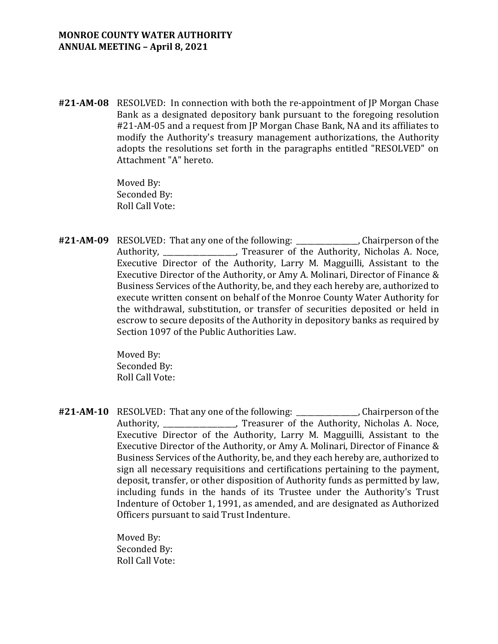**#21‐AM‐08** RESOLVED: In connection with both the re-appointment of JP Morgan Chase Bank as a designated depository bank pursuant to the foregoing resolution #21-AM-05 and a request from JP Morgan Chase Bank, NA and its affiliates to modify the Authority's treasury management authorizations, the Authority adopts the resolutions set forth in the paragraphs entitled "RESOLVED" on Attachment "A" hereto.

> Moved By: Seconded By: Roll Call Vote:

**#21‐AM‐09** RESOLVED: That any one of the following: \_\_\_\_\_\_\_\_\_\_\_\_\_\_\_\_\_, Chairperson of the Authority, Treasurer of the Authority, Nicholas A. Noce, Executive Director of the Authority, Larry M. Magguilli, Assistant to the Executive Director of the Authority, or Amy A. Molinari, Director of Finance & Business Services of the Authority, be, and they each hereby are, authorized to execute written consent on behalf of the Monroe County Water Authority for the withdrawal, substitution, or transfer of securities deposited or held in escrow to secure deposits of the Authority in depository banks as required by Section 1097 of the Public Authorities Law.

> Moved By: Seconded By: Roll Call Vote:

**#21‐AM‐10** RESOLVED: That any one of the following: \_\_\_\_\_\_\_\_\_\_\_\_\_\_\_\_\_, Chairperson of the Authority, \_\_\_\_\_\_\_\_\_\_\_\_\_\_\_\_\_\_\_\_, Treasurer of the Authority, Nicholas A. Noce, Executive Director of the Authority, Larry M. Magguilli, Assistant to the Executive Director of the Authority, or Amy A. Molinari, Director of Finance & Business Services of the Authority, be, and they each hereby are, authorized to sign all necessary requisitions and certifications pertaining to the payment, deposit, transfer, or other disposition of Authority funds as permitted by law, including funds in the hands of its Trustee under the Authority's Trust Indenture of October 1, 1991, as amended, and are designated as Authorized Officers pursuant to said Trust Indenture.

> Moved By: Seconded By: Roll Call Vote: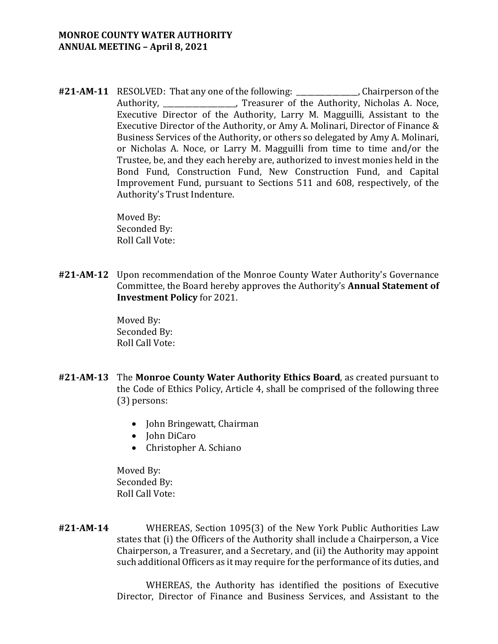## **MONROE COUNTY WATER AUTHORITY ANNUAL MEETING – April 8, 2021**

**#21‐AM‐11** RESOLVED: That any one of the following: \_\_\_\_\_\_\_\_\_\_\_\_\_\_\_\_\_, Chairperson of the Authority, \_\_\_\_\_\_\_\_\_\_\_\_\_\_\_\_\_\_\_\_, Treasurer of the Authority, Nicholas A. Noce, Executive Director of the Authority, Larry M. Magguilli, Assistant to the Executive Director of the Authority, or Amy A. Molinari, Director of Finance & Business Services of the Authority, or others so delegated by Amy A. Molinari, or Nicholas A. Noce, or Larry M. Magguilli from time to time and/or the Trustee, be, and they each hereby are, authorized to invest monies held in the Bond Fund, Construction Fund, New Construction Fund, and Capital Improvement Fund, pursuant to Sections 511 and 608, respectively, of the Authority's Trust Indenture.

> Moved By: Seconded By: Roll Call Vote:

**#21‐AM‐12** Upon recommendation of the Monroe County Water Authority's Governance Committee, the Board hereby approves the Authority's **Annual Statement of Investment Policy** for 2021.

> Moved By: Seconded By: Roll Call Vote:

- **#21‐AM‐13** The **Monroe County Water Authority Ethics Board**, as created pursuant to the Code of Ethics Policy, Article 4, shall be comprised of the following three (3) persons:
	- John Bringewatt, Chairman
	- John DiCaro
	- Christopher A. Schiano

 Moved By: Seconded By: Roll Call Vote:

**#21‐AM‐14** WHEREAS, Section 1095(3) of the New York Public Authorities Law states that (i) the Officers of the Authority shall include a Chairperson, a Vice Chairperson, a Treasurer, and a Secretary, and (ii) the Authority may appoint such additional Officers as it may require for the performance of its duties, and

> WHEREAS, the Authority has identified the positions of Executive Director, Director of Finance and Business Services, and Assistant to the